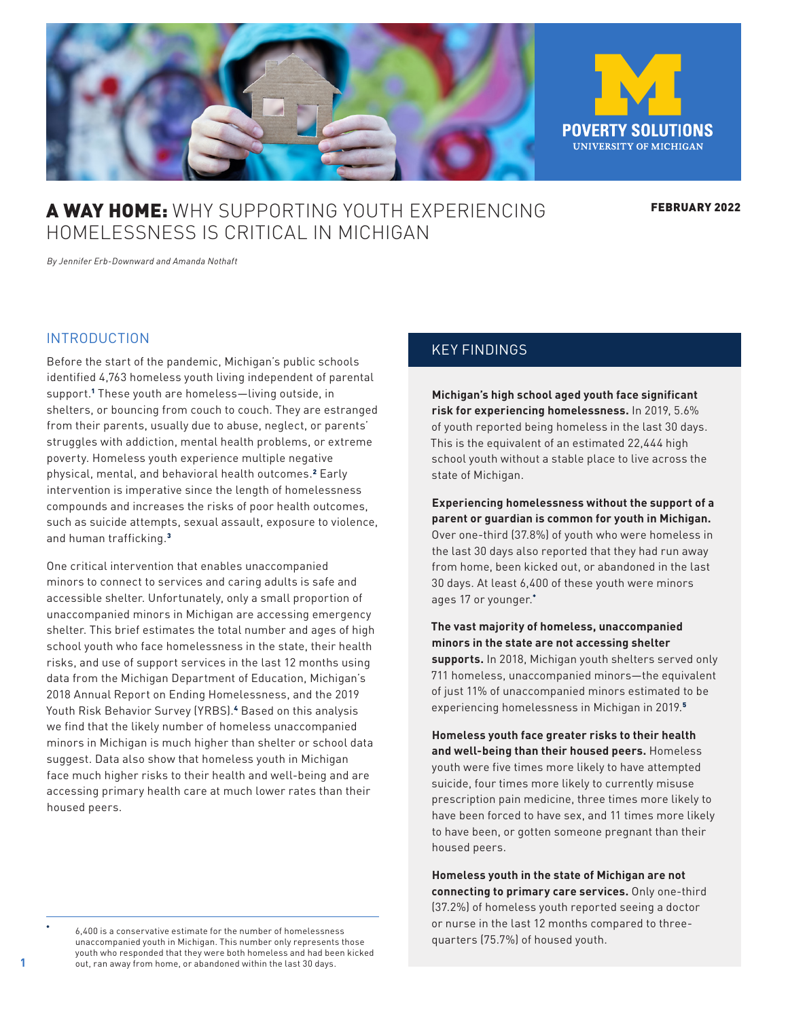<span id="page-0-0"></span>

# **A WAY HOME:** WHY SUPPORTING YOUTH EXPERIENCING HOMELESSNESS IS CRITICAL IN MICHIGAN

FEBRUARY 2022

*By Jennifer Erb-Downward and Amanda Nothaft*

#### INTRODUCTION

Before the start of the pandemic, Michigan's public schools identified 4,763 homeless youth living independent of parental support.[1](#page-6-0) These youth are homeless—living outside, in shelters, or bouncing from couch to couch. They are estranged from their parents, usually due to abuse, neglect, or parents' struggles with addiction, mental health problems, or extreme poverty. Homeless youth experience multiple negative physical, mental, and behavioral health outcomes.<sup>[2](#page-6-0)</sup> Early intervention is imperative since the length of homelessness compounds and increases the risks of poor health outcomes, such as suicide attempts, sexual assault, exposure to violence, and human trafficking.[3](#page-6-0)

One critical intervention that enables unaccompanied minors to connect to services and caring adults is safe and accessible shelter. Unfortunately, only a small proportion of unaccompanied minors in Michigan are accessing emergency shelter. This brief estimates the total number and ages of high school youth who face homelessness in the state, their health risks, and use of support services in the last 12 months using data from the Michigan Department of Education, Michigan's 2018 Annual Report on Ending Homelessness, and the 2019 Youth Risk Behavior Survey (YRBS).<sup>[4](#page-6-0)</sup> Based on this analysis we find that the likely number of homeless unaccompanied minors in Michigan is much higher than shelter or school data suggest. Data also show that homeless youth in Michigan face much higher risks to their health and well-being and are accessing primary health care at much lower rates than their housed peers.

## KEY FINDINGS

**Michigan's high school aged youth face significant risk for experiencing homelessness.** In 2019, 5.6% of youth reported being homeless in the last 30 days. This is the equivalent of an estimated 22,444 high school youth without a stable place to live across the state of Michigan.

**Experiencing homelessness without the support of a parent or guardian is common for youth in Michigan.** Over one-third (37.8%) of youth who were homeless in the last 30 days also reported that they had run away from home, been kicked out, or abandoned in the last 30 days. At least 6,400 of these youth were minors ages 17 or younger.\*

**The vast majority of homeless, unaccompanied minors in the state are not accessing shelter supports.** In 2018, Michigan youth shelters served only 711 homeless, unaccompanied minors—the equivalent of just 11% of unaccompanied minors estimated to be experiencing homelessness in Michigan in 2019.[5](#page-6-0)

**Homeless youth face greater risks to their health and well-being than their housed peers.** Homeless youth were five times more likely to have attempted suicide, four times more likely to currently misuse prescription pain medicine, three times more likely to have been forced to have sex, and 11 times more likely to have been, or gotten someone pregnant than their housed peers.

**Homeless youth in the state of Michigan are not connecting to primary care services.** Only one-third (37.2%) of homeless youth reported seeing a doctor or nurse in the last 12 months compared to threequarters (75.7%) of housed youth.

6,400 is a conservative estimate for the number of homelessness unaccompanied youth in Michigan. This number only represents those youth who responded that they were both homeless and had been kicked out, ran away from home, or abandoned within the last 30 days.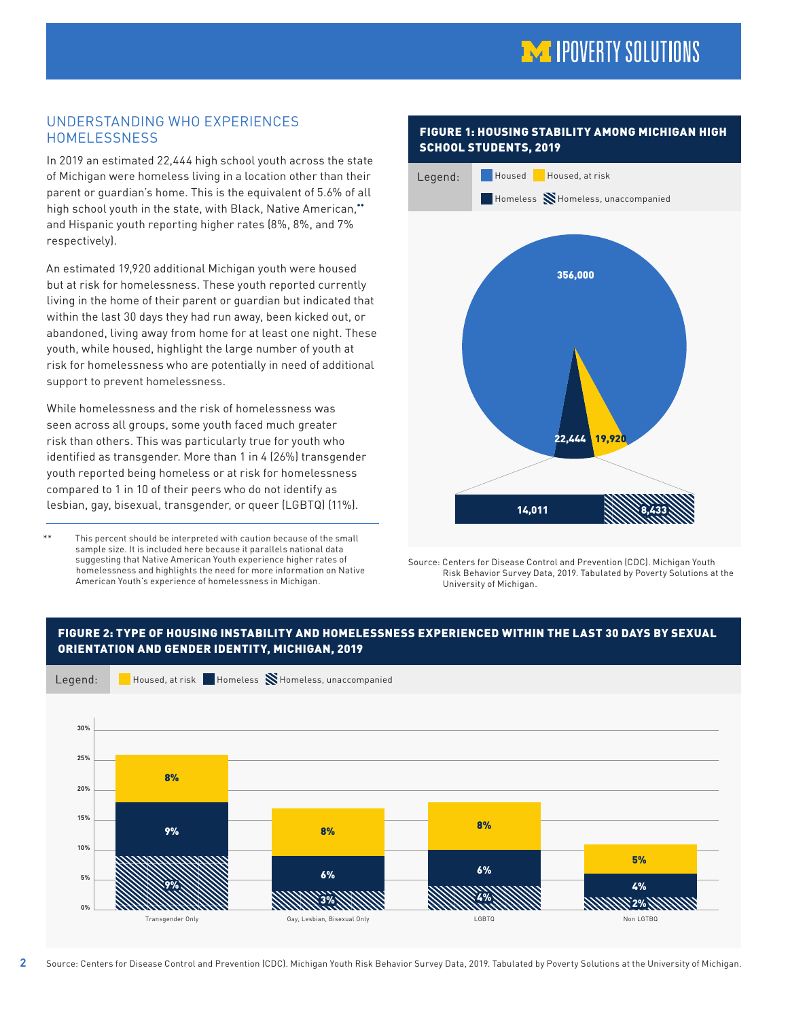# **MA IPOVERTY SOLUTIONS**

# UNDERSTANDING WHO EXPERIENCES **HOMELESSNESS**

In 2019 an estimated 22,444 high school youth across the state of Michigan were homeless living in a location other than their parent or guardian's home. This is the equivalent of 5.6% of all high school youth in the state, with Black, Native American,\*\* and Hispanic youth reporting higher rates (8%, 8%, and 7% respectively).

An estimated 19,920 additional Michigan youth were housed but at risk for homelessness. These youth reported currently living in the home of their parent or guardian but indicated that within the last 30 days they had run away, been kicked out, or abandoned, living away from home for at least one night. These youth, while housed, highlight the large number of youth at risk for homelessness who are potentially in need of additional support to prevent homelessness.

While homelessness and the risk of homelessness was seen across all groups, some youth faced much greater risk than others. This was particularly true for youth who identified as transgender. More than 1 in 4 (26%) transgender youth reported being homeless or at risk for homelessness compared to 1 in 10 of their peers who do not identify as lesbian, gay, bisexual, transgender, or queer (LGBTQ) (11%).

This percent should be interpreted with caution because of the small sample size. It is included here because it parallels national data suggesting that Native American Youth experience higher rates of homelessness and highlights the need for more information on Native American Youth's experience of homelessness in Michigan.

**2**

# FIGURE 1: HOUSING STABILITY AMONG MICHIGAN HIGH SCHOOL STUDENTS, 2019



Source: Centers for Disease Control and Prevention (CDC). Michigan Youth Risk Behavior Survey Data, 2019. Tabulated by Poverty Solutions at the University of Michigan.



Source: Centers for Disease Control and Prevention (CDC). Michigan Youth Risk Behavior Survey Data, 2019. Tabulated by Poverty Solutions at the University of Michigan.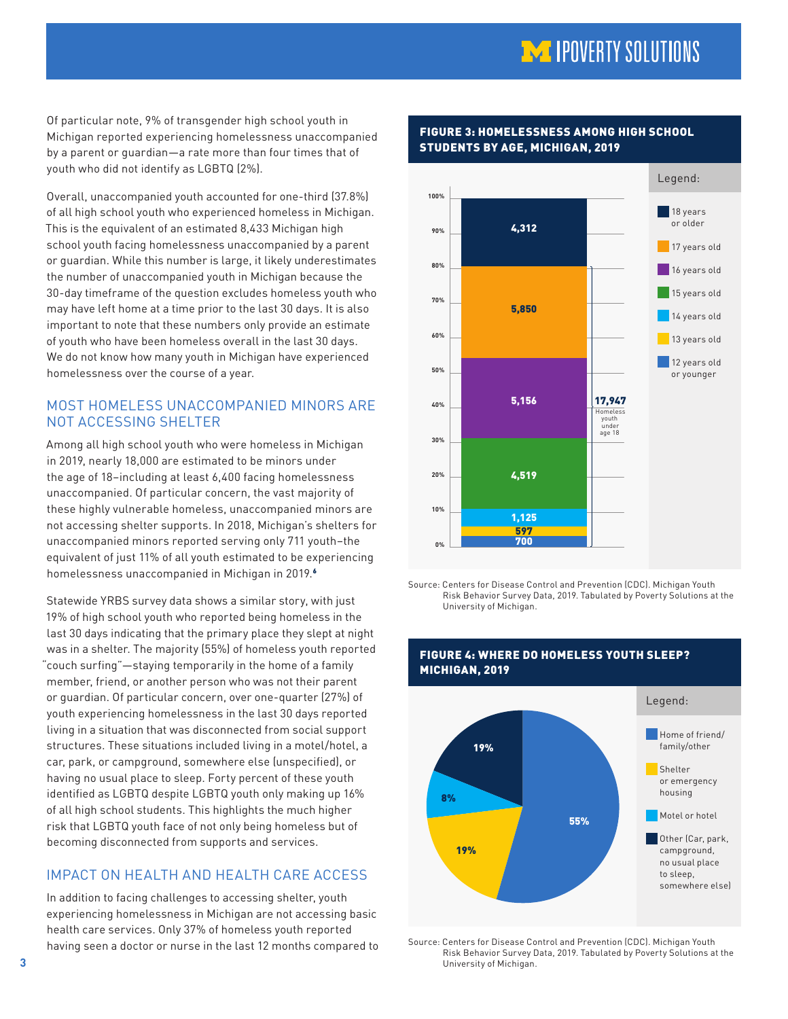# **MA IPOVERTY SOLUTIONS**

<span id="page-2-0"></span>Of particular note, 9% of transgender high school youth in Michigan reported experiencing homelessness unaccompanied by a parent or guardian—a rate more than four times that of youth who did not identify as LGBTQ (2%).

Overall, unaccompanied youth accounted for one-third (37.8%) of all high school youth who experienced homeless in Michigan. This is the equivalent of an estimated 8,433 Michigan high school youth facing homelessness unaccompanied by a parent or guardian. While this number is large, it likely underestimates the number of unaccompanied youth in Michigan because the 30-day timeframe of the question excludes homeless youth who may have left home at a time prior to the last 30 days. It is also important to note that these numbers only provide an estimate of youth who have been homeless overall in the last 30 days. We do not know how many youth in Michigan have experienced homelessness over the course of a year.

# MOST HOMELESS UNACCOMPANIED MINORS ARE NOT ACCESSING SHELTER

Among all high school youth who were homeless in Michigan in 2019, nearly 18,000 are estimated to be minors under the age of 18–including at least 6,400 facing homelessness unaccompanied. Of particular concern, the vast majority of these highly vulnerable homeless, unaccompanied minors are not accessing shelter supports. In 2018, Michigan's shelters for unaccompanied minors reported serving only 711 youth–the equivalent of just 11% of all youth estimated to be experiencing homelessness unaccompanied in Michigan in 2019.<sup>[6](#page-6-0)</sup>

Statewide YRBS survey data shows a similar story, with just 19% of high school youth who reported being homeless in the last 30 days indicating that the primary place they slept at night was in a shelter. The majority (55%) of homeless youth reported "couch surfing"—staying temporarily in the home of a family member, friend, or another person who was not their parent or guardian. Of particular concern, over one-quarter (27%) of youth experiencing homelessness in the last 30 days reported living in a situation that was disconnected from social support structures. These situations included living in a motel/hotel, a car, park, or campground, somewhere else (unspecified), or having no usual place to sleep. Forty percent of these youth identified as LGBTQ despite LGBTQ youth only making up 16% of all high school students. This highlights the much higher risk that LGBTQ youth face of not only being homeless but of becoming disconnected from supports and services.

# IMPACT ON HEALTH AND HEALTH CARE ACCESS

In addition to facing challenges to accessing shelter, youth experiencing homelessness in Michigan are not accessing basic health care services. Only 37% of homeless youth reported having seen a doctor or nurse in the last 12 months compared to



#### FIGURE 3: HOMELESSNESS AMONG HIGH SCHOOL STUDENTS BY AGE, MICHIGAN, 2019

Source: Centers for Disease Control and Prevention (CDC). Michigan Youth Risk Behavior Survey Data, 2019. Tabulated by Poverty Solutions at the University of Michigan.



### FIGURE 4: WHERE DO HOMELESS YOUTH SLEEP? MICHIGAN, 2019

Source: Centers for Disease Control and Prevention (CDC). Michigan Youth Risk Behavior Survey Data, 2019. Tabulated by Poverty Solutions at the University of Michigan.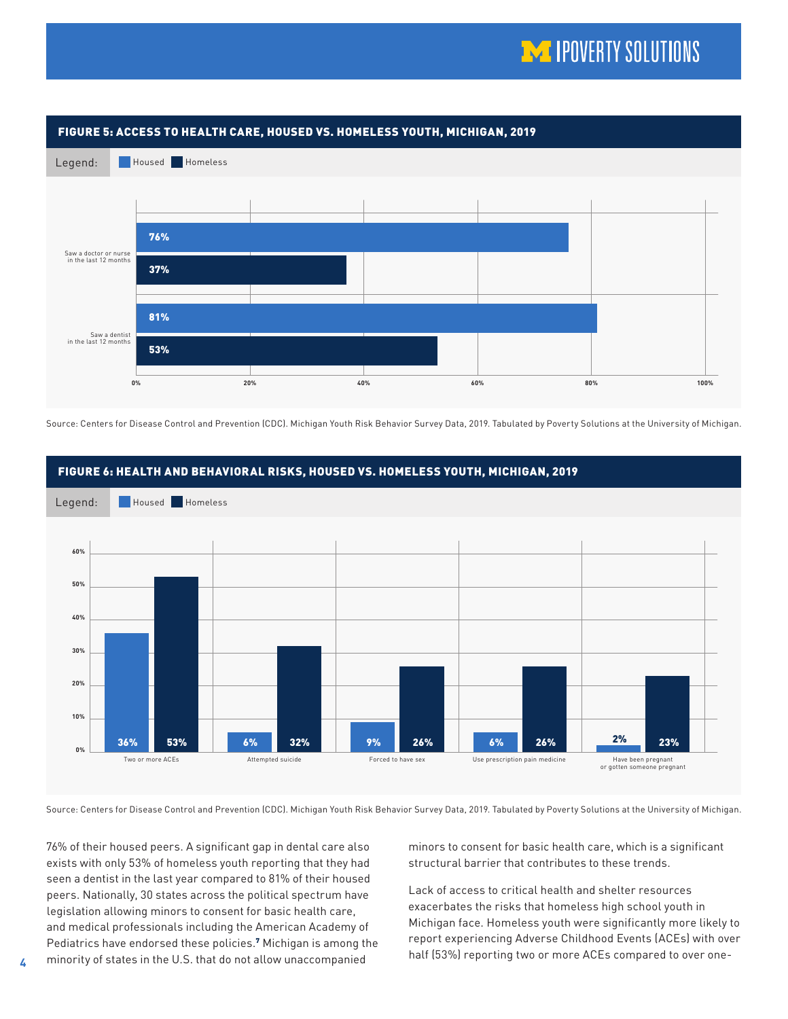# **MA IPOVERTY SOLUTIONS**

<span id="page-3-0"></span>

Source: Centers for Disease Control and Prevention (CDC). Michigan Youth Risk Behavior Survey Data, 2019. Tabulated by Poverty Solutions at the University of Michigan.



Source: Centers for Disease Control and Prevention (CDC). Michigan Youth Risk Behavior Survey Data, 2019. Tabulated by Poverty Solutions at the University of Michigan.

76% of their housed peers. A significant gap in dental care also exists with only 53% of homeless youth reporting that they had seen a dentist in the last year compared to 81% of their housed peers. Nationally, 30 states across the political spectrum have legislation allowing minors to consent for basic health care, and medical professionals including the American Academy of Pediatrics have endorsed these policies.<sup>[7](#page-6-0)</sup> Michigan is among the minority of states in the U.S. that do not allow unaccompanied

minors to consent for basic health care, which is a significant structural barrier that contributes to these trends.

Lack of access to critical health and shelter resources exacerbates the risks that homeless high school youth in Michigan face. Homeless youth were significantly more likely to report experiencing Adverse Childhood Events (ACEs) with over half (53%) reporting two or more ACEs compared to over one-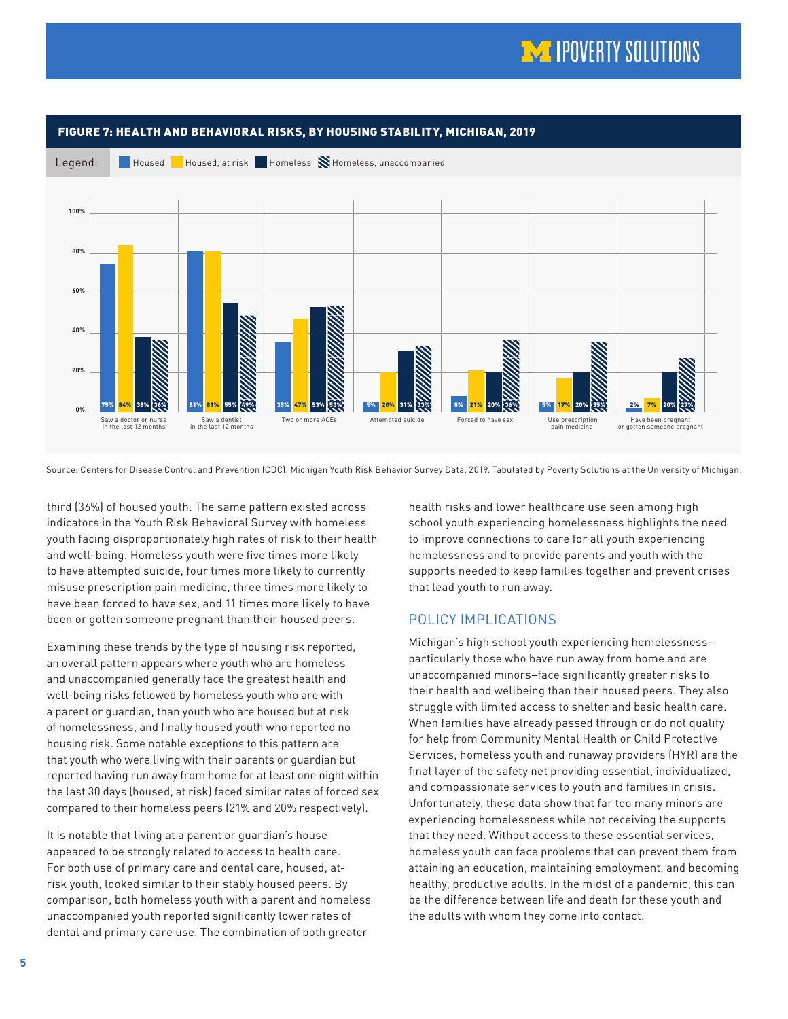

Source: Centers for Disease Control and Prevention (CDC). Michigan Youth Risk Behavior Survey Data, 2019. Tabulated by Poverty Solutions at the University of Michigan.

third (36%) of housed youth. The same pattern existed across indicators in the Youth Risk Behavioral Survey with homeless youth facing disproportionately high rates of risk to their health and well-being. Homeless youth were five times more likely to have attempted suicide, four times more likely to currently misuse prescription pain medicine, three times more likely to have been forced to have sex, and 11 times more likely to have been or gotten someone pregnant than their housed peers.

Examining these trends by the type of housing risk reported, an overall pattern appears where youth who are homeless and unaccompanied generally face the greatest health and well-being risks followed by homeless youth who are with a parent or guardian, than youth who are housed but at risk of homelessness, and finally housed youth who reported no housing risk. Some notable exceptions to this pattern are that youth who were living with their parents or guardian but reported having run away from home for at least one night within the last 30 days (housed, at risk) faced similar rates of forced sex compared to their homeless peers (21% and 20% respectively).

It is notable that living at a parent or guardian's house appeared to be strongly related to access to health care. For both use of primary care and dental care, housed, atrisk youth, looked similar to their stably housed peers. By comparison, both homeless youth with a parent and homeless unaccompanied youth reported significantly lower rates of dental and primary care use. The combination of both greater

health risks and lower healthcare use seen among high school youth experiencing homelessness highlights the need to improve connections to care for all youth experiencing homelessness and to provide parents and youth with the supports needed to keep families together and prevent crises that lead youth to run away.

# POLICY IMPLICATIONS

Michigan's high school youth experiencing homelessness– particularly those who have run away from home and are unaccompanied minors–face significantly greater risks to their health and wellbeing than their housed peers. They also struggle with limited access to shelter and basic health care. When families have already passed through or do not qualify for help from Community Mental Health or Child Protective Services, homeless youth and runaway providers (HYR) are the final layer of the safety net providing essential, individualized, and compassionate services to youth and families in crisis. Unfortunately, these data show that far too many minors are experiencing homelessness while not receiving the supports that they need. Without access to these essential services, homeless youth can face problems that can prevent them from attaining an education, maintaining employment, and becoming healthy, productive adults. In the midst of a pandemic, this can be the difference between life and death for these youth and the adults with whom they come into contact.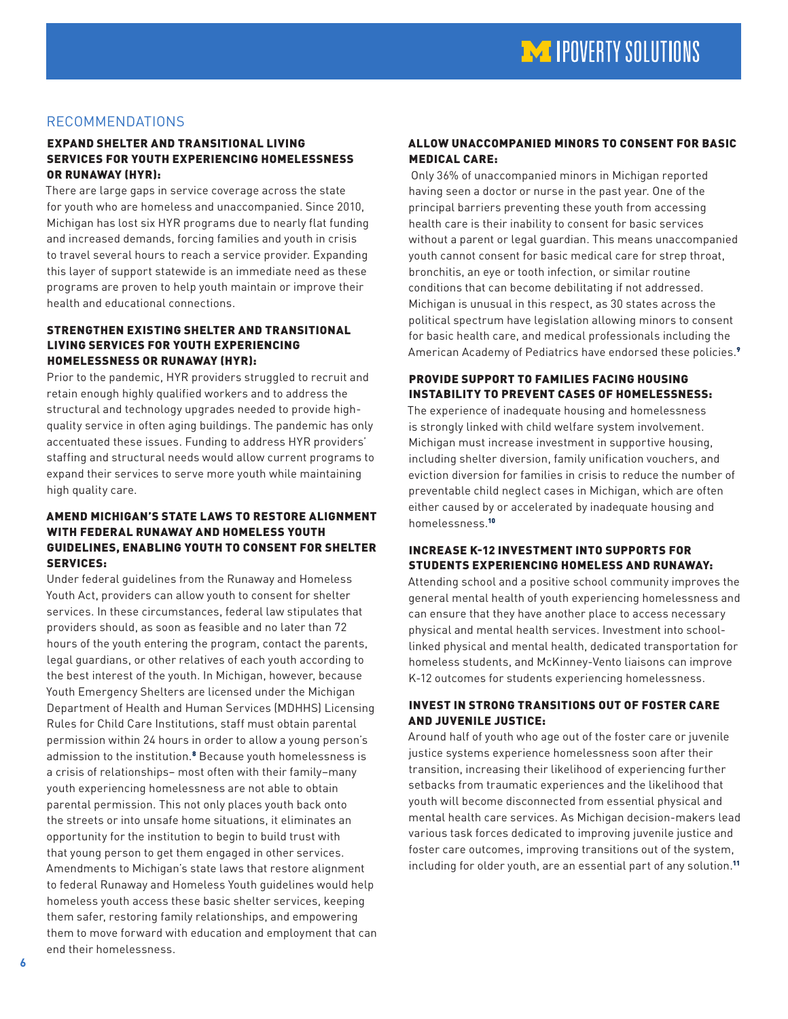# <span id="page-5-0"></span>RECOMMENDATIONS

### EXPAND SHELTER AND TRANSITIONAL LIVING SERVICES FOR YOUTH EXPERIENCING HOMELESSNESS OR RUNAWAY (HYR):

There are large gaps in service coverage across the state for youth who are homeless and unaccompanied. Since 2010, Michigan has lost six HYR programs due to nearly flat funding and increased demands, forcing families and youth in crisis to travel several hours to reach a service provider. Expanding this layer of support statewide is an immediate need as these programs are proven to help youth maintain or improve their health and educational connections.

#### STRENGTHEN EXISTING SHELTER AND TRANSITIONAL LIVING SERVICES FOR YOUTH EXPERIENCING HOMELESSNESS OR RUNAWAY (HYR):

Prior to the pandemic, HYR providers struggled to recruit and retain enough highly qualified workers and to address the structural and technology upgrades needed to provide highquality service in often aging buildings. The pandemic has only accentuated these issues. Funding to address HYR providers' staffing and structural needs would allow current programs to expand their services to serve more youth while maintaining high quality care.

### AMEND MICHIGAN'S STATE LAWS TO RESTORE ALIGNMENT WITH FEDERAL RUNAWAY AND HOMELESS YOUTH GUIDELINES, ENABLING YOUTH TO CONSENT FOR SHELTER SERVICES:

Under federal guidelines from the Runaway and Homeless Youth Act, providers can allow youth to consent for shelter services. In these circumstances, federal law stipulates that providers should, as soon as feasible and no later than 72 hours of the youth entering the program, contact the parents, legal guardians, or other relatives of each youth according to the best interest of the youth. In Michigan, however, because Youth Emergency Shelters are licensed under the Michigan Department of Health and Human Services (MDHHS) Licensing Rules for Child Care Institutions, staff must obtain parental permission within 24 hours in order to allow a young person's admission to the institution.<sup>[8](#page-6-0)</sup> Because youth homelessness is a crisis of relationships– most often with their family–many youth experiencing homelessness are not able to obtain parental permission. This not only places youth back onto the streets or into unsafe home situations, it eliminates an opportunity for the institution to begin to build trust with that young person to get them engaged in other services. Amendments to Michigan's state laws that restore alignment to federal Runaway and Homeless Youth guidelines would help homeless youth access these basic shelter services, keeping them safer, restoring family relationships, and empowering them to move forward with education and employment that can end their homelessness.

### ALLOW UNACCOMPANIED MINORS TO CONSENT FOR BASIC MEDICAL CARE:

 Only 36% of unaccompanied minors in Michigan reported having seen a doctor or nurse in the past year. One of the principal barriers preventing these youth from accessing health care is their inability to consent for basic services without a parent or legal guardian. This means unaccompanied youth cannot consent for basic medical care for strep throat, bronchitis, an eye or tooth infection, or similar routine conditions that can become debilitating if not addressed. Michigan is unusual in this respect, as 30 states across the political spectrum have legislation allowing minors to consent for basic health care, and medical professionals including the American Academy of Pediatrics have endorsed these policies.<sup>[9](#page-6-0)</sup>

## PROVIDE SUPPORT TO FAMILIES FACING HOUSING INSTABILITY TO PREVENT CASES OF HOMELESSNESS:

The experience of inadequate housing and homelessness is strongly linked with child welfare system involvement. Michigan must increase investment in supportive housing, including shelter diversion, family unification vouchers, and eviction diversion for families in crisis to reduce the number of preventable child neglect cases in Michigan, which are often either caused by or accelerated by inadequate housing and homelessness.[10](#page-6-0)

### INCREASE K-12 INVESTMENT INTO SUPPORTS FOR STUDENTS EXPERIENCING HOMELESS AND RUNAWAY:

Attending school and a positive school community improves the general mental health of youth experiencing homelessness and can ensure that they have another place to access necessary physical and mental health services. Investment into schoollinked physical and mental health, dedicated transportation for homeless students, and McKinney-Vento liaisons can improve K-12 outcomes for students experiencing homelessness.

### INVEST IN STRONG TRANSITIONS OUT OF FOSTER CARE AND JUVENILE JUSTICE:

Around half of youth who age out of the foster care or juvenile justice systems experience homelessness soon after their transition, increasing their likelihood of experiencing further setbacks from traumatic experiences and the likelihood that youth will become disconnected from essential physical and mental health care services. As Michigan decision-makers lead various task forces dedicated to improving juvenile justice and foster care outcomes, improving transitions out of the system, including for older youth, are an essential part of any solution.[11](#page-6-0)